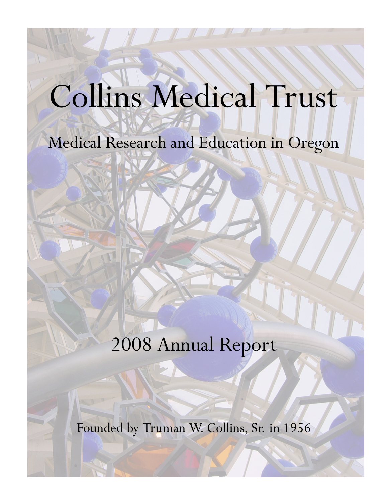# Collins Medical Trust

### Medical Research and Education in Oregon

## 2008 Annual Report

Founded by Truman W. Collins, Sr. in 1956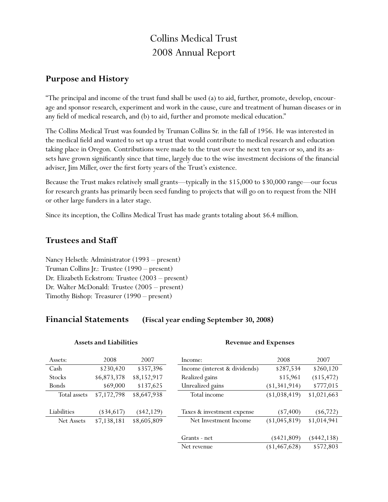#### Collins Medical Trust 2008 Annual Report

#### **Purpose and History**

"The principal and income of the trust fund shall be used (a) to aid, further, promote, develop, encourage and sponsor research, experiment and work in the cause, cure and treatment of human diseases or in any field of medical research, and (b) to aid, further and promote medical education."

The Collins Medical Trust was founded by Truman Collins Sr. in the fall of 1956. He was interested in the medical field and wanted to set up a trust that would contribute to medical research and education taking place in Oregon. Contributions were made to the trust over the next ten years or so, and its assets have grown significantly since that time, largely due to the wise investment decisions of the financial adviser, Jim Miller, over the first forty years of the Trust's existence.

Because the Trust makes relatively small grants—typically in the \$15,000 to \$30,000 range—our focus for research grants has primarily been seed funding to projects that will go on to request from the NIH or other large funders in a later stage.

Since its inception, the Collins Medical Trust has made grants totaling about \$6.4 million.

#### **Trustees and Staff**

Nancy Helseth: Administrator (1993 – present) Truman Collins Jr.: Trustee (1990 – present) Dr. Elizabeth Eckstrom: Trustee (2003 – present) Dr. Walter McDonald: Trustee (2005 – present) Timothy Bishop: Treasurer (1990 – present)

#### **Financial Statements (Fiscal year ending September 30, 2008)**

| Assets:      | 2008        | 2007        | Income:                       | 2008          | 2007         |
|--------------|-------------|-------------|-------------------------------|---------------|--------------|
| Cash         | \$230,420   | \$357,396   | Income (interest & dividends) | \$287,534     | \$260,120    |
| Stocks       | \$6,873,378 | \$8,152,917 | Realized gains                | \$15,961      | (15, 472)    |
| Bonds        | \$69,000    | \$137,625   | Unrealized gains              | (1,341,914)   | \$777,015    |
| Total assets | \$7,172,798 | \$8,647,938 | Total income                  | (1,038,419)   | \$1,021,663  |
|              |             |             |                               |               |              |
| Liabilities  | $(*34,617)$ | $(*42,129)$ | Taxes & investment expense    | $(*7,400)$    | $(\$6,722)$  |
| Net Assets   | \$7,138,181 | \$8,605,809 | Net Investment Income         | (1,045,819)   | \$1,014,941  |
|              |             |             |                               |               |              |
|              |             |             | Grants - net                  | $(*421,809)$  | $(*442,138)$ |
|              |             |             | Net revenue                   | (1, 467, 628) | \$572,803    |

#### **Assets and Liabilities**

#### **Revenue and Expenses**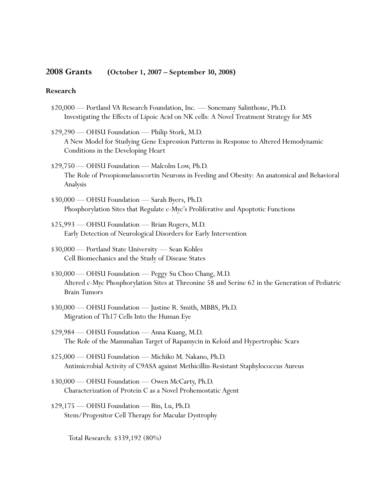#### **2008 Grants (October 1, 2007 – September 30, 2008)**

#### **Research**

- \$20,000 Portland VA Research Foundation, Inc. Sonemany Salinthone, Ph.D. Investigating the Effects of Lipoic Acid on NK cells: A Novel Treatment Strategy for MS
- \$29,290 OHSU Foundation Philip Stork, M.D. A New Model for Studying Gene Expression Patterns in Response to Altered Hemodynamic Conditions in the Developing Heart
- \$29,750 OHSU Foundation Malcolm Low, Ph.D. The Role of Proopiomelanocortin Neurons in Feeding and Obesity: An anatomical and Behavioral Analysis
- \$30,000 OHSU Foundation Sarah Byers, Ph.D. Phosphorylation Sites that Regulate c-Myc's Proliferative and Apoptotic Functions
- \$25,993 OHSU Foundation Brian Rogers, M.D. Early Detection of Neurological Disorders for Early Intervention
- \$30,000 Portland State University Sean Kohles Cell Biomechanics and the Study of Disease States
- \$30,000 OHSU Foundation Peggy Su Choo Chang, M.D. Altered c-Myc Phosphorylation Sites at Threonine 58 and Serine 62 in the Generation of Pediatric Brain Tumors
- \$30,000 OHSU Foundation Justine R. Smith, MBBS, Ph.D. Migration of Th17 Cells Into the Human Eye
- \$29,984 OHSU Foundation Anna Kuang, M.D. The Role of the Mammalian Target of Rapamycin in Keloid and Hypertrophic Scars
- \$25,000 OHSU Foundation Michiko M. Nakano, Ph.D. Antimicrobial Activity of C9ASA against Methicillin-Resistant Staphylococcus Aureus
- \$30,000 OHSU Foundation Owen McCarty, Ph.D. Characterization of Protein C as a Novel Prohemostatic Agent
- \$29,175 OHSU Foundation Bin, Lu, Ph.D. Stem/Progenitor Cell Therapy for Macular Dystrophy

Total Research: \$339,192 (80%)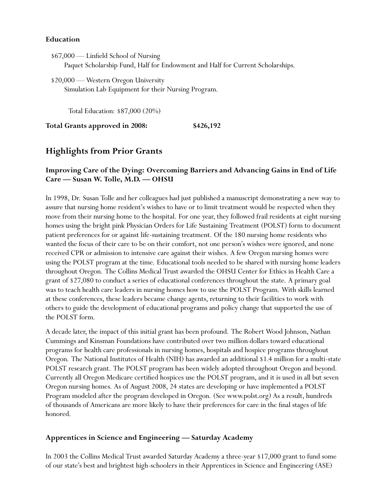#### **Education**

\$67,000 — Linfield School of Nursing Paquet Scholarship Fund, Half for Endowment and Half for Current Scholarships.

\$20,000 — Western Oregon University Simulation Lab Equipment for their Nursing Program.

Total Education: \$87,000 (20%)

**Total Grants approved in 2008: \$426,192**

#### **Highlights from Prior Grants**

#### **Improving Care of the Dying: Overcoming Barriers and Advancing Gains in End of Life Care — Susan W. Tolle, M.D. — OHSU**

In 1998, Dr. Susan Tolle and her colleagues had just published a manuscript demonstrating a new way to assure that nursing home resident's wishes to have or to limit treatment would be respected when they move from their nursing home to the hospital. For one year, they followed frail residents at eight nursing homes using the bright pink Physician Orders for Life Sustaining Treatment (POLST) form to document patient preferences for or against life-sustaining treatment. Of the 180 nursing home residents who wanted the focus of their care to be on their comfort, not one person's wishes were ignored, and none received CPR or admission to intensive care against their wishes. A few Oregon nursing homes were using the POLST program at the time. Educational tools needed to be shared with nursing home leaders throughout Oregon. The Collins Medical Trust awarded the OHSU Center for Ethics in Health Care a grant of \$27,080 to conduct a series of educational conferences throughout the state. A primary goal was to teach health care leaders in nursing homes how to use the POLST Program. With skills learned at these conferences, these leaders became change agents, returning to their facilities to work with others to guide the development of educational programs and policy change that supported the use of the POLST form.

A decade later, the impact of this initial grant has been profound. The Robert Wood Johnson, Nathan Cummings and Kinsman Foundations have contributed over two million dollars toward educational programs for health care professionals in nursing homes, hospitals and hospice programs throughout Oregon. The National Institutes of Health (NIH) has awarded an additional \$1.4 million for a multi-state POLST research grant. The POLST program has been widely adopted throughout Oregon and beyond. Currently all Oregon Medicare certified hospices use the POLST program, and it is used in all but seven Oregon nursing homes. As of August 2008, 24 states are developing or have implemented a POLST Program modeled after the program developed in Oregon. (See www.polst.org) As a result, hundreds of thousands of Americans are more likely to have their preferences for care in the final stages of life honored.

#### **Apprentices in Science and Engineering — Saturday Academy**

In 2003 the Collins Medical Trust awarded Saturday Academy a three-year \$17,000 grant to fund some of our state's best and brightest high-schoolers in their Apprentices in Science and Engineering (ASE)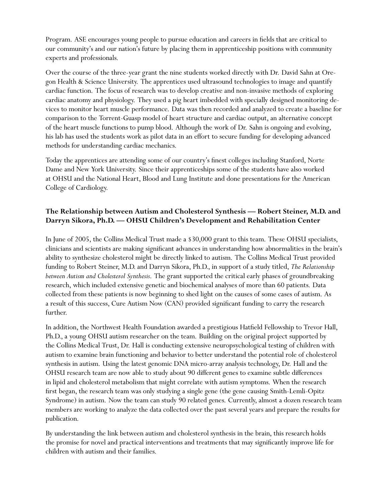Program. ASE encourages young people to pursue education and careers in fields that are critical to our community's and our nation's future by placing them in apprenticeship positions with community experts and professionals.

Over the course of the three-year grant the nine students worked directly with Dr. David Sahn at Oregon Health & Science University. The apprentices used ultrasound technologies to image and quantify cardiac function. The focus of research was to develop creative and non-invasive methods of exploring cardiac anatomy and physiology. They used a pig heart imbedded with specially designed monitoring devices to monitor heart muscle performance. Data was then recorded and analyzed to create a baseline for comparison to the Torrent-Guasp model of heart structure and cardiac output, an alternative concept of the heart muscle functions to pump blood. Although the work of Dr. Sahn is ongoing and evolving, his lab has used the students work as pilot data in an effort to secure funding for developing advanced methods for understanding cardiac mechanics.

Today the apprentices are attending some of our country's finest colleges including Stanford, Norte Dame and New York University. Since their apprenticeships some of the students have also worked at OHSU and the National Heart, Blood and Lung Institute and done presentations for the American College of Cardiology.

#### **The Relationship between Autism and Cholesterol Synthesis — Robert Steiner, M.D. and Darryn Sikora, Ph.D. — OHSU Children's Development and Rehabilitation Center**

In June of 2005, the Collins Medical Trust made a \$30,000 grant to this team. These OHSU specialists, clinicians and scientists are making significant advances in understanding how abnormalities in the brain's ability to synthesize cholesterol might be directly linked to autism. The Collins Medical Trust provided funding to Robert Steiner, M.D. and Darryn Sikora, Ph.D., in support of a study titled, *The Relationship between Autism and Cholesterol Synthesis*. The grant supported the critical early phases of groundbreaking research, which included extensive genetic and biochemical analyses of more than 60 patients. Data collected from these patients is now beginning to shed light on the causes of some cases of autism. As a result of this success, Cure Autism Now (CAN) provided significant funding to carry the research further.

In addition, the Northwest Health Foundation awarded a prestigious Hatfield Fellowship to Trevor Hall, Ph.D., a young OHSU autism researcher on the team. Building on the original project supported by the Collins Medical Trust, Dr. Hall is conducting extensive neuropsychological testing of children with autism to examine brain functioning and behavior to better understand the potential role of cholesterol synthesis in autism. Using the latest genomic DNA micro-array analysis technology, Dr. Hall and the OHSU research team are now able to study about 90 different genes to examine subtle differences in lipid and cholesterol metabolism that might correlate with autism symptoms. When the research first began, the research team was only studying a single gene (the gene causing Smith-Lemli-Opitz Syndrome) in autism. Now the team can study 90 related genes. Currently, almost a dozen research team members are working to analyze the data collected over the past several years and prepare the results for publication.

By understanding the link between autism and cholesterol synthesis in the brain, this research holds the promise for novel and practical interventions and treatments that may significantly improve life for children with autism and their families.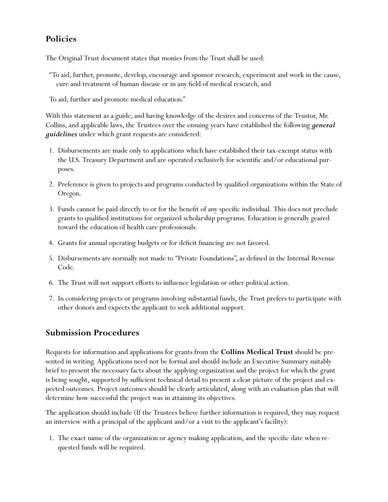#### **Policies**

The Original Trust document states that monies from the Trust shall be used:

"To aid, further, promote, develop, encourage and sponsor research, experiment and work in the cause, cure and treatment of human disease or in any field of medical research, and

To aid, further and promote medical education."

With this statement as a guide, and having knowledge of the desires and concerns of the Trustor, Mr. Collins, and applicable laws, the Trustees over the ensuing years have established the following *general guidelines* under which grant requests are considered:

- 1. Disbursements are made only to applications which have established their tax-exempt status with the U.S. Treasury Department and are operated exclusively for scientific and/or educational purposes.
- 2. Preference is given to projects and programs conducted by qualified organizations within the State of Oregon.
- 3. Funds cannot be paid directly to or for the benefit of any specific individual. This does not preclude grants to qualified institutions for organized scholarship programs. Education is generally geared toward the education of health care professionals.
- 4. Grants for annual operating budgets or for deficit financing are not favored.
- 5. Disbursements are normally not made to "Private Foundations", as defined in the Internal Revenue Code.
- 6. The Trust will not support efforts to influence legislation or other political action.
- 7. In considering projects or programs involving substantial funds, the Trust prefers to participate with other donors and expects the applicant to seek additional support.

#### **Submission Procedures**

Requests for information and applications for grants from the **Collins Medical Trust** should be presented in writing. Applications need not be formal and should include an Executive Summary suitably brief to present the necessary facts about the applying organization and the project for which the grant is being sought, supported by sufficient technical detail to present a clear picture of the project and expected outcomes. Project outcomes should be clearly articulated, along with an evaluation plan that will determine how successful the project was in attaining its objectives.

The application should include (If the Trustees believe further information is required, they may request an interview with a principal of the applicant and/or a visit to the applicant's facility):

1. The exact name of the organization or agency making application, and the specific date when requested funds will be required.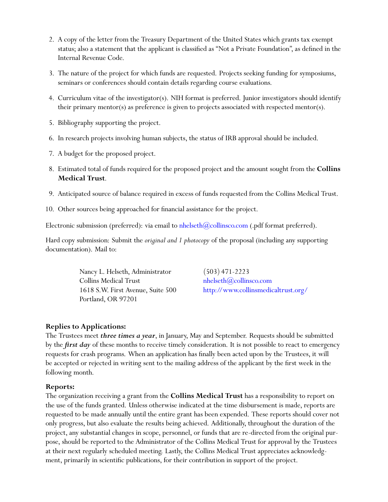- 2. A copy of the letter from the Treasury Department of the United States which grants tax exempt status; also a statement that the applicant is classified as "Not a Private Foundation", as defined in the Internal Revenue Code.
- 3. The nature of the project for which funds are requested. Projects seeking funding for symposiums, seminars or conferences should contain details regarding course evaluations.
- 4. Curriculum vitae of the investigator(s). NIH format is preferred. Junior investigators should identify their primary mentor(s) as preference is given to projects associated with respected mentor(s).
- 5. Bibliography supporting the project.
- 6. In research projects involving human subjects, the status of IRB approval should be included.
- 7. A budget for the proposed project.
- 8. Estimated total of funds required for the proposed project and the amount sought from the **Collins Medical Trust**.
- 9. Anticipated source of balance required in excess of funds requested from the Collins Medical Trust.
- 10. Other sources being approached for financial assistance for the project.

Electronic submission (preferred): via email to nhelseth $(\partial\text{collinsco.com}$  (.pdf format preferred).

Hard copy submission: Submit the *original and 1 photocopy* of the proposal (including any supporting documentation). Mail to:

> Nancy L. Helseth, Administrator (503) 471-2223  $\text{Collins Medical Trust}$  nhelseth $@$ collinsco.com Portland, OR 97201

1618 S.W. First Avenue, Suite 500 <http://www.collinsmedicaltrust.org/>

#### **Replies to Applications:**

The Trustees meet *three times a year*, in January, May and September. Requests should be submitted by the *first day* of these months to receive timely consideration. It is not possible to react to emergency requests for crash programs. When an application has finally been acted upon by the Trustees, it will be accepted or rejected in writing sent to the mailing address of the applicant by the first week in the following month.

#### **Reports:**

The organization receiving a grant from the **Collins Medical Trust** has a responsibility to report on the use of the funds granted. Unless otherwise indicated at the time disbursement is made, reports are requested to be made annually until the entire grant has been expended. These reports should cover not only progress, but also evaluate the results being achieved. Additionally, throughout the duration of the project, any substantial changes in scope, personnel, or funds that are re-directed from the original purpose, should be reported to the Administrator of the Collins Medical Trust for approval by the Trustees at their next regularly scheduled meeting. Lastly, the Collins Medical Trust appreciates acknowledgment, primarily in scientific publications, for their contribution in support of the project.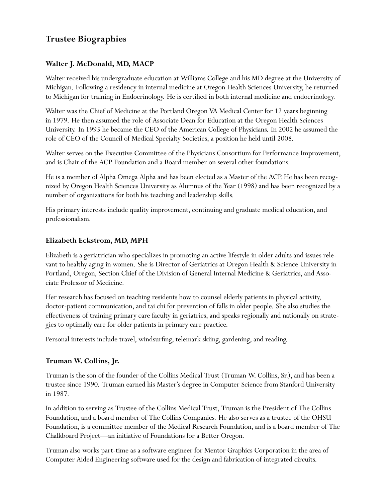#### **Trustee Biographies**

#### **Walter J. McDonald, MD, MACP**

Walter received his undergraduate education at Williams College and his MD degree at the University of Michigan. Following a residency in internal medicine at Oregon Health Sciences University, he returned to Michigan for training in Endocrinology. He is certified in both internal medicine and endocrinology.

Walter was the Chief of Medicine at the Portland Oregon VA Medical Center for 12 years beginning in 1979. He then assumed the role of Associate Dean for Education at the Oregon Health Sciences University. In 1995 he became the CEO of the American College of Physicians. In 2002 he assumed the role of CEO of the Council of Medical Specialty Societies, a position he held until 2008.

Walter serves on the Executive Committee of the Physicians Consortium for Performance Improvement, and is Chair of the ACP Foundation and a Board member on several other foundations.

He is a member of Alpha Omega Alpha and has been elected as a Master of the ACP. He has been recognized by Oregon Health Sciences University as Alumnus of the Year (1998) and has been recognized by a number of organizations for both his teaching and leadership skills.

His primary interests include quality improvement, continuing and graduate medical education, and professionalism.

#### **Elizabeth Eckstrom, MD, MPH**

Elizabeth is a geriatrician who specializes in promoting an active lifestyle in older adults and issues relevant to healthy aging in women. She is Director of Geriatrics at Oregon Health & Science University in Portland, Oregon, Section Chief of the Division of General Internal Medicine & Geriatrics, and Associate Professor of Medicine.

Her research has focused on teaching residents how to counsel elderly patients in physical activity, doctor-patient communication, and tai chi for prevention of falls in older people. She also studies the effectiveness of training primary care faculty in geriatrics, and speaks regionally and nationally on strategies to optimally care for older patients in primary care practice.

Personal interests include travel, windsurfing, telemark skiing, gardening, and reading.

#### **Truman W. Collins, Jr.**

Truman is the son of the founder of the Collins Medical Trust (Truman W. Collins, Sr.), and has been a trustee since 1990. Truman earned his Master's degree in Computer Science from Stanford University in 1987.

In addition to serving as Trustee of the Collins Medical Trust, Truman is the President of The Collins Foundation, and a board member of The Collins Companies. He also serves as a trustee of the OHSU Foundation, is a committee member of the Medical Research Foundation, and is a board member of The Chalkboard Project—an initiative of Foundations for a Better Oregon.

Truman also works part-time as a software engineer for Mentor Graphics Corporation in the area of Computer Aided Engineering software used for the design and fabrication of integrated circuits.